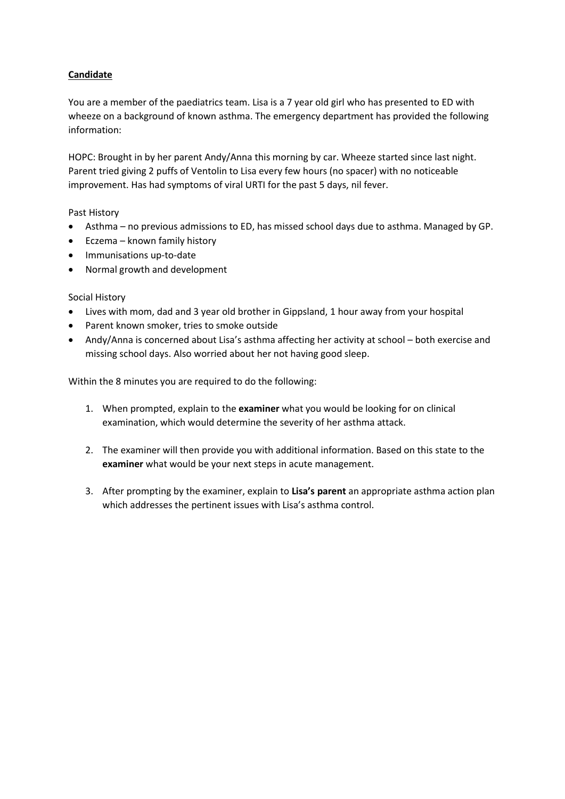# **Candidate**

You are a member of the paediatrics team. Lisa is a 7 year old girl who has presented to ED with wheeze on a background of known asthma. The emergency department has provided the following information:

HOPC: Brought in by her parent Andy/Anna this morning by car. Wheeze started since last night. Parent tried giving 2 puffs of Ventolin to Lisa every few hours (no spacer) with no noticeable improvement. Has had symptoms of viral URTI for the past 5 days, nil fever.

### Past History

- Asthma no previous admissions to ED, has missed school days due to asthma. Managed by GP.
- Eczema known family history
- Immunisations up-to-date
- Normal growth and development

### Social History

- Lives with mom, dad and 3 year old brother in Gippsland, 1 hour away from your hospital
- Parent known smoker, tries to smoke outside
- Andy/Anna is concerned about Lisa's asthma affecting her activity at school both exercise and missing school days. Also worried about her not having good sleep.

Within the 8 minutes you are required to do the following:

- 1. When prompted, explain to the **examiner** what you would be looking for on clinical examination, which would determine the severity of her asthma attack.
- 2. The examiner will then provide you with additional information. Based on this state to the **examiner** what would be your next steps in acute management.
- 3. After prompting by the examiner, explain to **Lisa's parent** an appropriate asthma action plan which addresses the pertinent issues with Lisa's asthma control.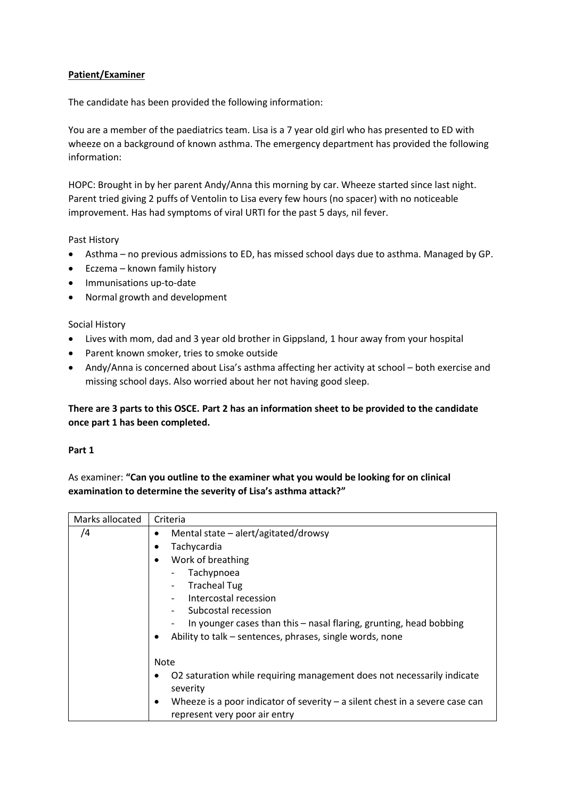# **Patient/Examiner**

The candidate has been provided the following information:

You are a member of the paediatrics team. Lisa is a 7 year old girl who has presented to ED with wheeze on a background of known asthma. The emergency department has provided the following information:

HOPC: Brought in by her parent Andy/Anna this morning by car. Wheeze started since last night. Parent tried giving 2 puffs of Ventolin to Lisa every few hours (no spacer) with no noticeable improvement. Has had symptoms of viral URTI for the past 5 days, nil fever.

### Past History

- Asthma no previous admissions to ED, has missed school days due to asthma. Managed by GP.
- Eczema known family history
- Immunisations up-to-date
- Normal growth and development

### Social History

- Lives with mom, dad and 3 year old brother in Gippsland, 1 hour away from your hospital
- Parent known smoker, tries to smoke outside
- Andy/Anna is concerned about Lisa's asthma affecting her activity at school both exercise and missing school days. Also worried about her not having good sleep.

# **There are 3 parts to this OSCE. Part 2 has an information sheet to be provided to the candidate once part 1 has been completed.**

### **Part 1**

As examiner: **"Can you outline to the examiner what you would be looking for on clinical examination to determine the severity of Lisa's asthma attack?"**

| Marks allocated | Criteria                                                                            |  |  |
|-----------------|-------------------------------------------------------------------------------------|--|--|
| /4              | Mental state - alert/agitated/drowsy                                                |  |  |
|                 | Tachycardia                                                                         |  |  |
|                 | Work of breathing<br>٠                                                              |  |  |
|                 | Tachypnoea                                                                          |  |  |
|                 | <b>Tracheal Tug</b>                                                                 |  |  |
|                 | Intercostal recession                                                               |  |  |
|                 | Subcostal recession                                                                 |  |  |
|                 | In younger cases than this – nasal flaring, grunting, head bobbing                  |  |  |
|                 | Ability to talk - sentences, phrases, single words, none<br>٠                       |  |  |
|                 |                                                                                     |  |  |
|                 | <b>Note</b>                                                                         |  |  |
|                 | O2 saturation while requiring management does not necessarily indicate              |  |  |
|                 | severity                                                                            |  |  |
|                 | Wheeze is a poor indicator of severity $-$ a silent chest in a severe case can<br>٠ |  |  |
|                 | represent very poor air entry                                                       |  |  |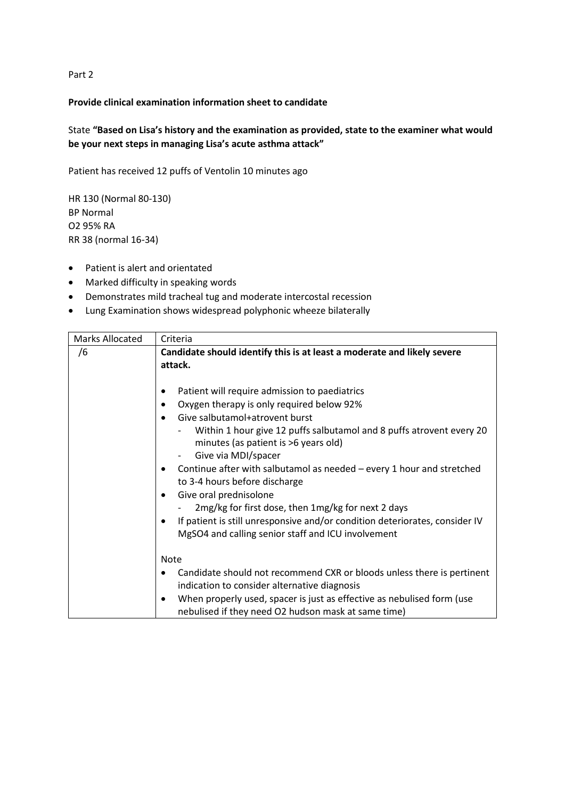Part 2

#### **Provide clinical examination information sheet to candidate**

# State **"Based on Lisa's history and the examination as provided, state to the examiner what would be your next steps in managing Lisa's acute asthma attack"**

Patient has received 12 puffs of Ventolin 10 minutes ago

HR 130 (Normal 80-130) BP Normal O2 95% RA RR 38 (normal 16-34)

- Patient is alert and orientated
- Marked difficulty in speaking words
- Demonstrates mild tracheal tug and moderate intercostal recession
- Lung Examination shows widespread polyphonic wheeze bilaterally

| <b>Marks Allocated</b> | Criteria                                                                                                                                                                                                                                                                                                                                                                                                                                                                                                                                                                                                                                       |  |  |
|------------------------|------------------------------------------------------------------------------------------------------------------------------------------------------------------------------------------------------------------------------------------------------------------------------------------------------------------------------------------------------------------------------------------------------------------------------------------------------------------------------------------------------------------------------------------------------------------------------------------------------------------------------------------------|--|--|
| /6                     | Candidate should identify this is at least a moderate and likely severe<br>attack.                                                                                                                                                                                                                                                                                                                                                                                                                                                                                                                                                             |  |  |
|                        | Patient will require admission to paediatrics<br>Oxygen therapy is only required below 92%<br>$\bullet$<br>Give salbutamol+atrovent burst<br>$\bullet$<br>Within 1 hour give 12 puffs salbutamol and 8 puffs atrovent every 20<br>minutes (as patient is >6 years old)<br>Give via MDI/spacer<br>Continue after with salbutamol as needed – every 1 hour and stretched<br>٠<br>to 3-4 hours before discharge<br>Give oral prednisolone<br>$\bullet$<br>2mg/kg for first dose, then 1mg/kg for next 2 days<br>If patient is still unresponsive and/or condition deteriorates, consider IV<br>MgSO4 and calling senior staff and ICU involvement |  |  |
|                        | <b>Note</b><br>Candidate should not recommend CXR or bloods unless there is pertinent<br>$\bullet$                                                                                                                                                                                                                                                                                                                                                                                                                                                                                                                                             |  |  |
|                        | indication to consider alternative diagnosis                                                                                                                                                                                                                                                                                                                                                                                                                                                                                                                                                                                                   |  |  |
|                        | When properly used, spacer is just as effective as nebulised form (use<br>$\bullet$<br>nebulised if they need O2 hudson mask at same time)                                                                                                                                                                                                                                                                                                                                                                                                                                                                                                     |  |  |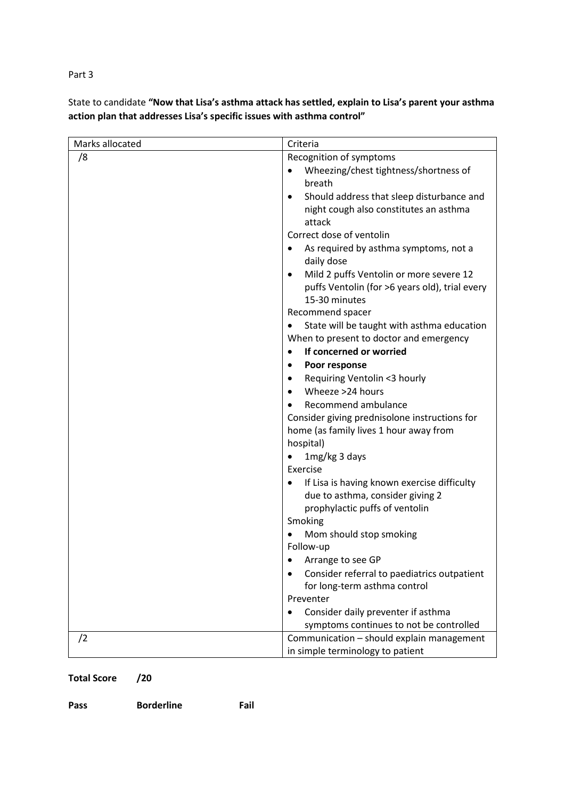Part 3

State to candidate **"Now that Lisa's asthma attack has settled, explain to Lisa's parent your asthma action plan that addresses Lisa's specific issues with asthma control"**

| Marks allocated | Criteria                                                           |  |
|-----------------|--------------------------------------------------------------------|--|
| /8              | Recognition of symptoms                                            |  |
|                 | Wheezing/chest tightness/shortness of                              |  |
|                 | breath                                                             |  |
|                 | Should address that sleep disturbance and<br>$\bullet$             |  |
|                 | night cough also constitutes an asthma                             |  |
|                 | attack                                                             |  |
|                 | Correct dose of ventolin                                           |  |
|                 | As required by asthma symptoms, not a<br>daily dose                |  |
|                 | Mild 2 puffs Ventolin or more severe 12<br>$\bullet$               |  |
|                 | puffs Ventolin (for >6 years old), trial every                     |  |
|                 | 15-30 minutes                                                      |  |
|                 | Recommend spacer                                                   |  |
|                 | State will be taught with asthma education                         |  |
|                 | When to present to doctor and emergency                            |  |
|                 | If concerned or worried<br>$\bullet$                               |  |
|                 | Poor response<br>٠                                                 |  |
|                 | Requiring Ventolin <3 hourly<br>٠                                  |  |
|                 | Wheeze >24 hours<br>$\bullet$                                      |  |
|                 | Recommend ambulance                                                |  |
|                 | Consider giving prednisolone instructions for                      |  |
|                 | home (as family lives 1 hour away from                             |  |
|                 | hospital)                                                          |  |
|                 | 1mg/kg 3 days                                                      |  |
|                 | Exercise                                                           |  |
|                 | If Lisa is having known exercise difficulty                        |  |
|                 | due to asthma, consider giving 2<br>prophylactic puffs of ventolin |  |
|                 | Smoking                                                            |  |
|                 | Mom should stop smoking                                            |  |
|                 | Follow-up                                                          |  |
|                 | Arrange to see GP                                                  |  |
|                 | Consider referral to paediatrics outpatient<br>$\bullet$           |  |
|                 | for long-term asthma control                                       |  |
|                 | Preventer                                                          |  |
|                 | Consider daily preventer if asthma<br>$\bullet$                    |  |
|                 | symptoms continues to not be controlled                            |  |
| /2              | Communication - should explain management                          |  |
|                 | in simple terminology to patient                                   |  |

# **Total Score /20**

| Pass | <b>Borderline</b> | Fail |
|------|-------------------|------|
|      |                   |      |